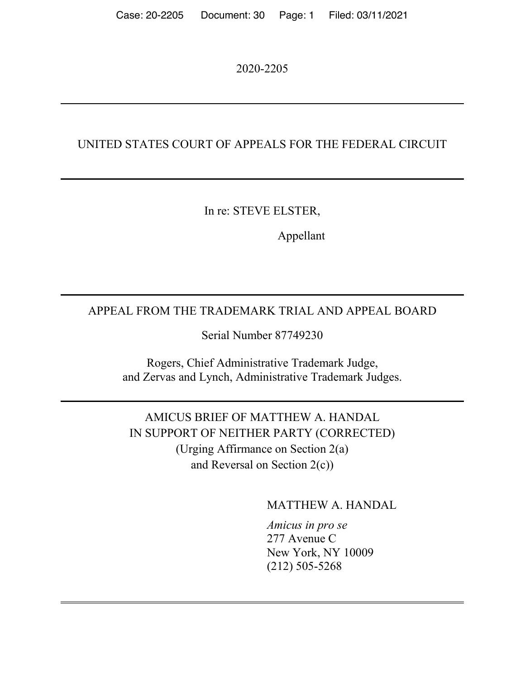2020-2205

### UNITED STATES COURT OF APPEALS FOR THE FEDERAL CIRCUIT

In re: STEVE ELSTER,

Appellant

## APPEAL FROM THE TRADEMARK TRIAL AND APPEAL BOARD

Serial Number 87749230

Rogers, Chief Administrative Trademark Judge, and Zervas and Lynch, Administrative Trademark Judges.

AMICUS BRIEF OF MATTHEW A. HANDAL IN SUPPORT OF NEITHER PARTY (CORRECTED) (Urging Affirmance on Section 2(a) and Reversal on Section 2(c))

MATTHEW A. HANDAL

*Amicus in pro se* 277 Avenue C New York, NY 10009 (212) 505-5268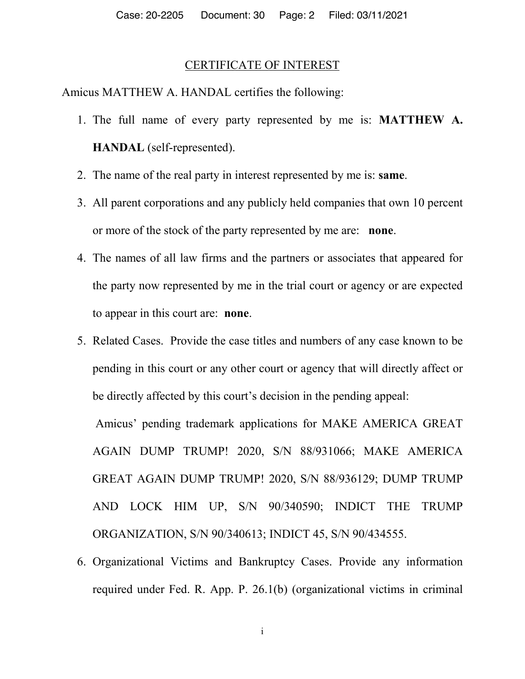#### CERTIFICATE OF INTEREST

Amicus MATTHEW A. HANDAL certifies the following:

- 1. The full name of every party represented by me is: **MATTHEW A. HANDAL** (self-represented).
- 2. The name of the real party in interest represented by me is: **same**.
- 3. All parent corporations and any publicly held companies that own 10 percent or more of the stock of the party represented by me are: **none**.
- 4. The names of all law firms and the partners or associates that appeared for the party now represented by me in the trial court or agency or are expected to appear in this court are: **none**.
- 5. Related Cases. Provide the case titles and numbers of any case known to be pending in this court or any other court or agency that will directly affect or be directly affected by this court's decision in the pending appeal:

Amicus' pending trademark applications for MAKE AMERICA GREAT AGAIN DUMP TRUMP! 2020, S/N 88/931066; MAKE AMERICA GREAT AGAIN DUMP TRUMP! 2020, S/N 88/936129; DUMP TRUMP AND LOCK HIM UP, S/N 90/340590; INDICT THE TRUMP ORGANIZATION, S/N 90/340613; INDICT 45, S/N 90/434555.

6. Organizational Victims and Bankruptcy Cases. Provide any information required under Fed. R. App. P. 26.1(b) (organizational victims in criminal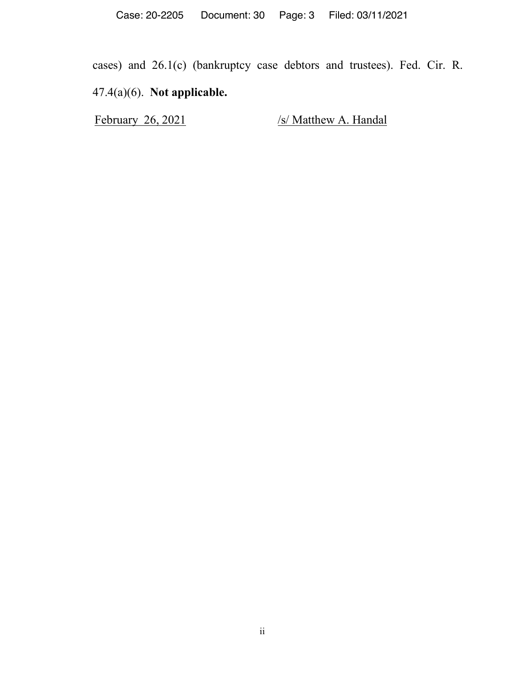cases) and 26.1(c) (bankruptcy case debtors and trustees). Fed. Cir. R. 47.4(a)(6). **Not applicable.**

February 26, 2021 /s/ Matthew A. Handal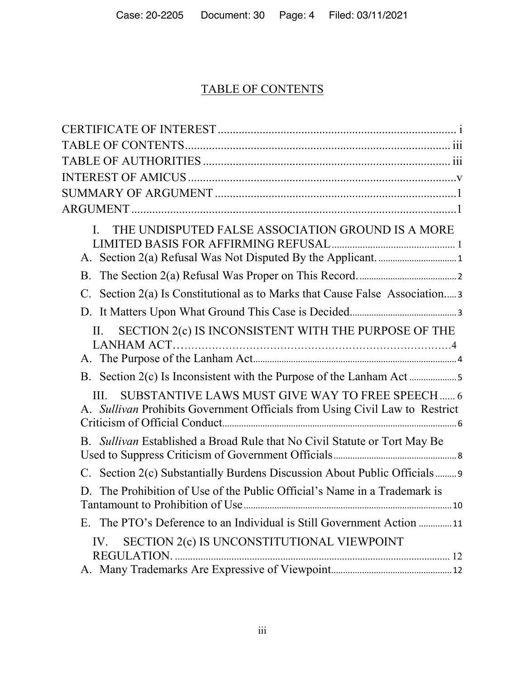# TABLE OF CONTENTS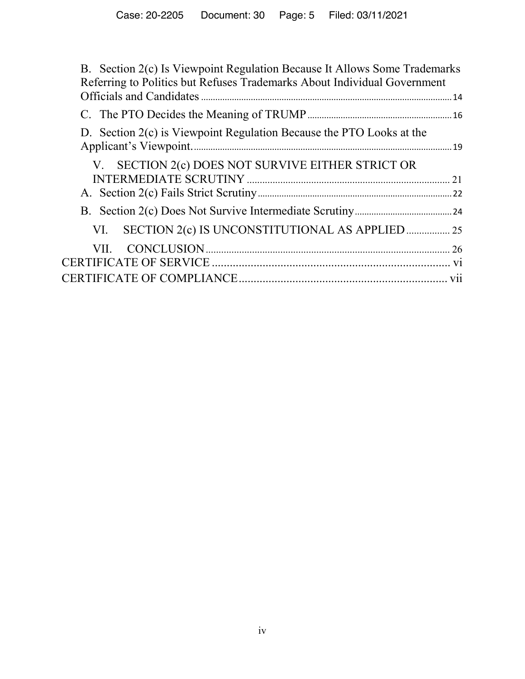| B. Section 2(c) Is Viewpoint Regulation Because It Allows Some Trademarks<br>Referring to Politics but Refuses Trademarks About Individual Government |  |
|-------------------------------------------------------------------------------------------------------------------------------------------------------|--|
|                                                                                                                                                       |  |
|                                                                                                                                                       |  |
| D. Section 2(c) is Viewpoint Regulation Because the PTO Looks at the                                                                                  |  |
| V. SECTION 2(c) DOES NOT SURVIVE EITHER STRICT OR                                                                                                     |  |
|                                                                                                                                                       |  |
|                                                                                                                                                       |  |
|                                                                                                                                                       |  |
| SECTION 2(c) IS UNCONSTITUTIONAL AS APPLIED  25<br>VI.                                                                                                |  |
| VII -                                                                                                                                                 |  |
|                                                                                                                                                       |  |
|                                                                                                                                                       |  |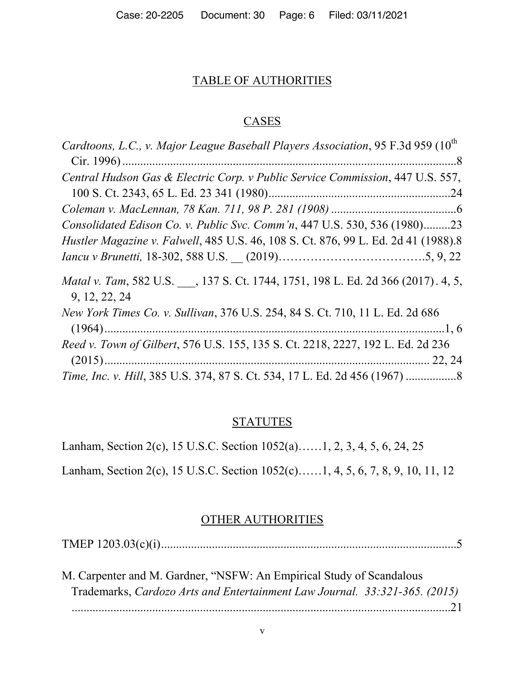### TABLE OF AUTHORITIES

### **CASES**

| Cardtoons, L.C., v. Major League Baseball Players Association, 95 F.3d 959 (10 <sup>th</sup>    |
|-------------------------------------------------------------------------------------------------|
|                                                                                                 |
| Central Hudson Gas & Electric Corp. v Public Service Commission, 447 U.S. 557,                  |
|                                                                                                 |
|                                                                                                 |
| Consolidated Edison Co. v. Public Svc. Comm'n, 447 U.S. 530, 536 (1980)23                       |
| Hustler Magazine v. Falwell, 485 U.S. 46, 108 S. Ct. 876, 99 L. Ed. 2d 41 (1988).8              |
|                                                                                                 |
| Matal v. Tam, 582 U.S., 137 S. Ct. 1744, 1751, 198 L. Ed. 2d 366 (2017). 4, 5,<br>9, 12, 22, 24 |
| New York Times Co. v. Sullivan, 376 U.S. 254, 84 S. Ct. 710, 11 L. Ed. 2d 686                   |
| Reed v. Town of Gilbert, 576 U.S. 155, 135 S. Ct. 2218, 2227, 192 L. Ed. 2d 236                 |
|                                                                                                 |

### **STATUTES**

Lanham, Section 2(c), 15 U.S.C. Section 1052(a)……1, 2, 3, 4, 5, 6, 24, 25

Lanham, Section 2(c), 15 U.S.C. Section 1052(c)……1, 4, 5, 6, 7, 8, 9, 10, 11, 12

#### OTHER AUTHORITIES

TMEP 1203.03(c)(i)...................................................................................................5

| M. Carpenter and M. Gardner, "NSFW: An Empirical Study of Scandalous       |  |
|----------------------------------------------------------------------------|--|
| Trademarks, Cardozo Arts and Entertainment Law Journal. 33:321-365. (2015) |  |
|                                                                            |  |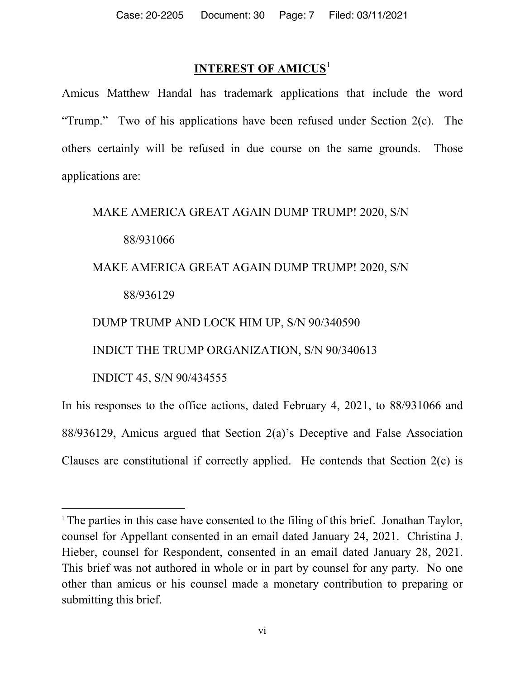## **INTEREST OF AMICUS**<sup>1</sup>

Amicus Matthew Handal has trademark applications that include the word "Trump." Two of his applications have been refused under Section 2(c). The others certainly will be refused in due course on the same grounds. Those applications are:

MAKE AMERICA GREAT AGAIN DUMP TRUMP! 2020, S/N

88/931066

MAKE AMERICA GREAT AGAIN DUMP TRUMP! 2020, S/N

### 88/936129

### DUMP TRUMP AND LOCK HIM UP, S/N 90/340590

INDICT THE TRUMP ORGANIZATION, S/N 90/340613

INDICT 45, S/N 90/434555

 $\overline{a}$ 

In his responses to the office actions, dated February 4, 2021, to 88/931066 and 88/936129, Amicus argued that Section 2(a)'s Deceptive and False Association Clauses are constitutional if correctly applied. He contends that Section 2(c) is

<sup>&</sup>lt;sup>1</sup> The parties in this case have consented to the filing of this brief. Jonathan Taylor, counsel for Appellant consented in an email dated January 24, 2021. Christina J. Hieber, counsel for Respondent, consented in an email dated January 28, 2021. This brief was not authored in whole or in part by counsel for any party. No one other than amicus or his counsel made a monetary contribution to preparing or submitting this brief.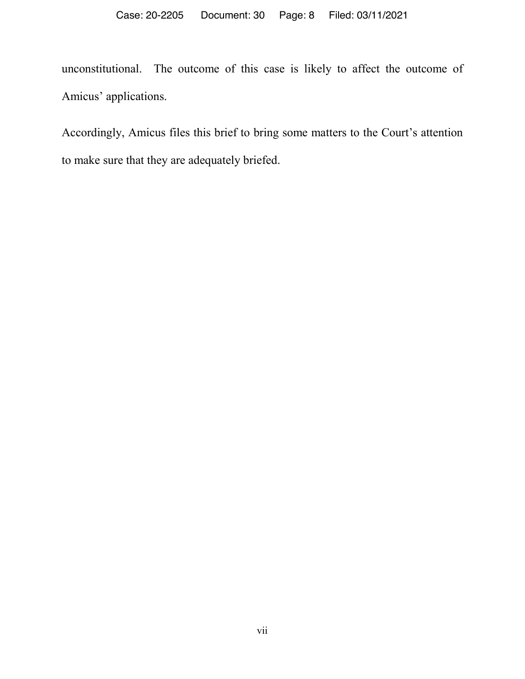unconstitutional. The outcome of this case is likely to affect the outcome of Amicus' applications.

Accordingly, Amicus files this brief to bring some matters to the Court's attention to make sure that they are adequately briefed.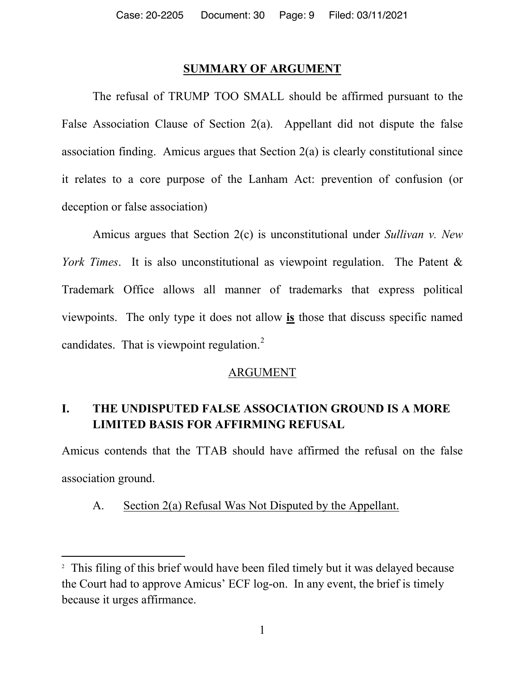#### **SUMMARY OF ARGUMENT**

The refusal of TRUMP TOO SMALL should be affirmed pursuant to the False Association Clause of Section 2(a). Appellant did not dispute the false association finding. Amicus argues that Section 2(a) is clearly constitutional since it relates to a core purpose of the Lanham Act: prevention of confusion (or deception or false association)

Amicus argues that Section 2(c) is unconstitutional under *Sullivan v. New York Times*. It is also unconstitutional as viewpoint regulation. The Patent & Trademark Office allows all manner of trademarks that express political viewpoints. The only type it does not allow **is** those that discuss specific named candidates. That is viewpoint regulation. $<sup>2</sup>$ </sup>

### ARGUMENT

## **I. THE UNDISPUTED FALSE ASSOCIATION GROUND IS A MORE LIMITED BASIS FOR AFFIRMING REFUSAL**

Amicus contends that the TTAB should have affirmed the refusal on the false association ground.

### A. Section 2(a) Refusal Was Not Disputed by the Appellant.

l

<sup>&</sup>lt;sup>2</sup> This filing of this brief would have been filed timely but it was delayed because the Court had to approve Amicus' ECF log-on. In any event, the brief is timely because it urges affirmance.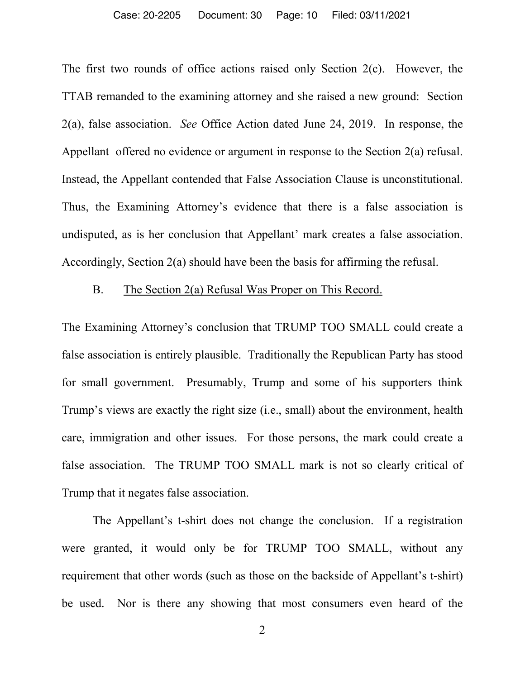#### Case: 20-2205 Document: 30 Page: 10 Filed: 03/11/2021

The first two rounds of office actions raised only Section 2(c). However, the TTAB remanded to the examining attorney and she raised a new ground: Section 2(a), false association. *See* Office Action dated June 24, 2019. In response, the Appellant offered no evidence or argument in response to the Section 2(a) refusal. Instead, the Appellant contended that False Association Clause is unconstitutional. Thus, the Examining Attorney's evidence that there is a false association is undisputed, as is her conclusion that Appellant' mark creates a false association. Accordingly, Section 2(a) should have been the basis for affirming the refusal.

### B. The Section 2(a) Refusal Was Proper on This Record.

The Examining Attorney's conclusion that TRUMP TOO SMALL could create a false association is entirely plausible. Traditionally the Republican Party has stood for small government. Presumably, Trump and some of his supporters think Trump's views are exactly the right size (i.e., small) about the environment, health care, immigration and other issues. For those persons, the mark could create a false association. The TRUMP TOO SMALL mark is not so clearly critical of Trump that it negates false association.

The Appellant's t-shirt does not change the conclusion. If a registration were granted, it would only be for TRUMP TOO SMALL, without any requirement that other words (such as those on the backside of Appellant's t-shirt) be used. Nor is there any showing that most consumers even heard of the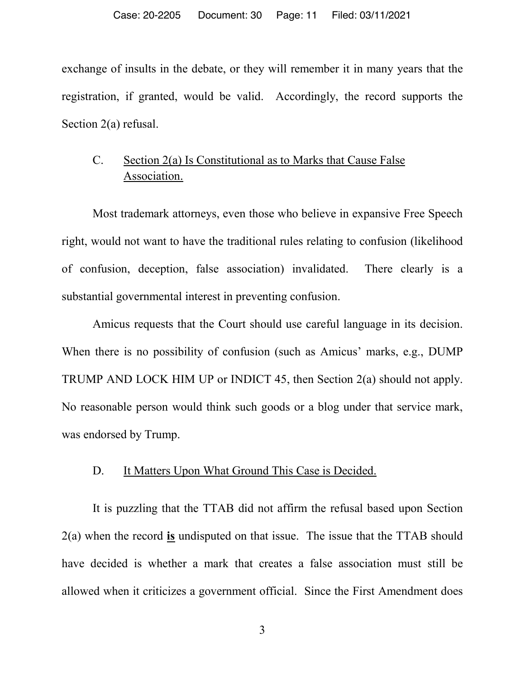exchange of insults in the debate, or they will remember it in many years that the registration, if granted, would be valid. Accordingly, the record supports the Section 2(a) refusal.

## C. Section 2(a) Is Constitutional as to Marks that Cause False Association.

Most trademark attorneys, even those who believe in expansive Free Speech right, would not want to have the traditional rules relating to confusion (likelihood of confusion, deception, false association) invalidated. There clearly is a substantial governmental interest in preventing confusion.

Amicus requests that the Court should use careful language in its decision. When there is no possibility of confusion (such as Amicus' marks, e.g., DUMP) TRUMP AND LOCK HIM UP or INDICT 45, then Section 2(a) should not apply. No reasonable person would think such goods or a blog under that service mark, was endorsed by Trump.

#### D. It Matters Upon What Ground This Case is Decided.

It is puzzling that the TTAB did not affirm the refusal based upon Section 2(a) when the record **is** undisputed on that issue. The issue that the TTAB should have decided is whether a mark that creates a false association must still be allowed when it criticizes a government official. Since the First Amendment does

3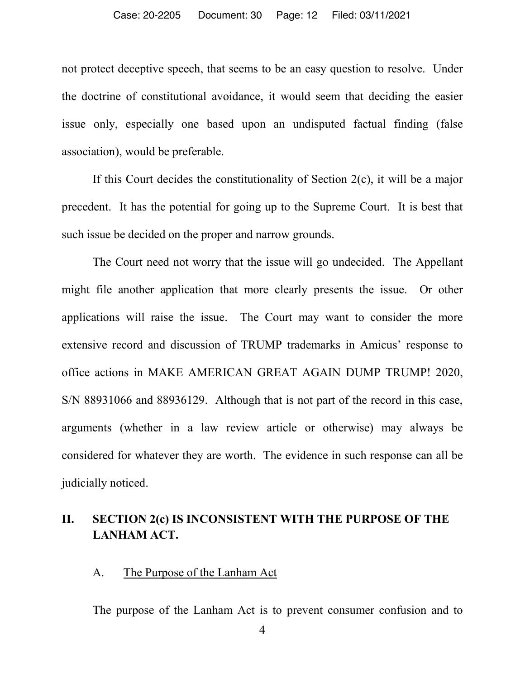#### Case: 20-2205 Document: 30 Page: 12 Filed: 03/11/2021

not protect deceptive speech, that seems to be an easy question to resolve. Under the doctrine of constitutional avoidance, it would seem that deciding the easier issue only, especially one based upon an undisputed factual finding (false association), would be preferable.

If this Court decides the constitutionality of Section 2(c), it will be a major precedent. It has the potential for going up to the Supreme Court. It is best that such issue be decided on the proper and narrow grounds.

The Court need not worry that the issue will go undecided. The Appellant might file another application that more clearly presents the issue. Or other applications will raise the issue. The Court may want to consider the more extensive record and discussion of TRUMP trademarks in Amicus' response to office actions in MAKE AMERICAN GREAT AGAIN DUMP TRUMP! 2020, S/N 88931066 and 88936129. Although that is not part of the record in this case, arguments (whether in a law review article or otherwise) may always be considered for whatever they are worth. The evidence in such response can all be judicially noticed.

### **II. SECTION 2(c) IS INCONSISTENT WITH THE PURPOSE OF THE LANHAM ACT.**

A. The Purpose of the Lanham Act

The purpose of the Lanham Act is to prevent consumer confusion and to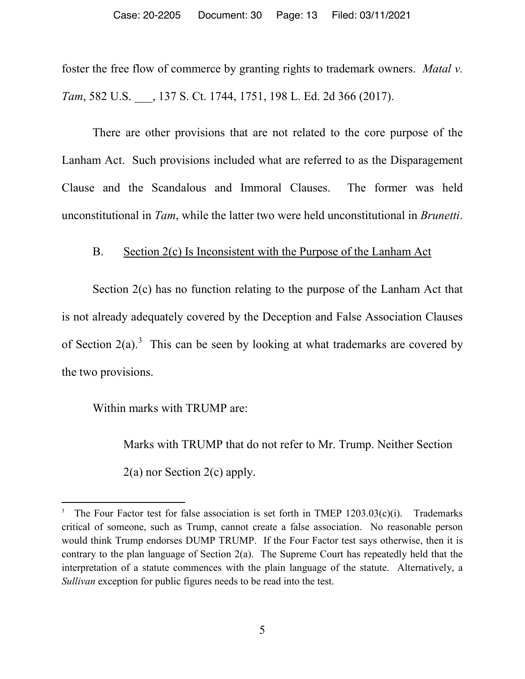foster the free flow of commerce by granting rights to trademark owners. *Matal v. Tam*, 582 U.S. \_\_\_, 137 S. Ct. 1744, 1751, 198 L. Ed. 2d 366 (2017).

There are other provisions that are not related to the core purpose of the Lanham Act. Such provisions included what are referred to as the Disparagement Clause and the Scandalous and Immoral Clauses. The former was held unconstitutional in *Tam*, while the latter two were held unconstitutional in *Brunetti*.

### B. Section 2(c) Is Inconsistent with the Purpose of the Lanham Act

Section 2(c) has no function relating to the purpose of the Lanham Act that is not already adequately covered by the Deception and False Association Clauses of Section  $2(a)$ .<sup>3</sup> This can be seen by looking at what trademarks are covered by the two provisions.

Within marks with TRUMP are:

 $\overline{\phantom{a}}$ 

Marks with TRUMP that do not refer to Mr. Trump. Neither Section 2(a) nor Section 2(c) apply.

<sup>3</sup> The Four Factor test for false association is set forth in TMEP 1203.03(c)(i). Trademarks critical of someone, such as Trump, cannot create a false association. No reasonable person would think Trump endorses DUMP TRUMP. If the Four Factor test says otherwise, then it is contrary to the plan language of Section 2(a). The Supreme Court has repeatedly held that the interpretation of a statute commences with the plain language of the statute. Alternatively, a *Sullivan* exception for public figures needs to be read into the test.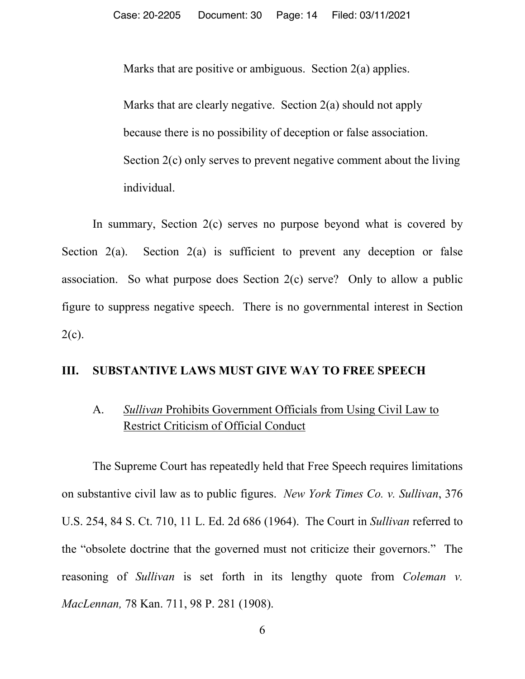Marks that are positive or ambiguous. Section 2(a) applies.

Marks that are clearly negative. Section 2(a) should not apply because there is no possibility of deception or false association. Section 2(c) only serves to prevent negative comment about the living individual.

In summary, Section 2(c) serves no purpose beyond what is covered by Section  $2(a)$ . Section  $2(a)$  is sufficient to prevent any deception or false association. So what purpose does Section 2(c) serve? Only to allow a public figure to suppress negative speech. There is no governmental interest in Section  $2(c)$ .

### **III. SUBSTANTIVE LAWS MUST GIVE WAY TO FREE SPEECH**

## A. *Sullivan* Prohibits Government Officials from Using Civil Law to Restrict Criticism of Official Conduct

The Supreme Court has repeatedly held that Free Speech requires limitations on substantive civil law as to public figures. *New York Times Co. v. Sullivan*, 376 U.S. 254, 84 S. Ct. 710, 11 L. Ed. 2d 686 (1964). The Court in *Sullivan* referred to the "obsolete doctrine that the governed must not criticize their governors." The reasoning of *Sullivan* is set forth in its lengthy quote from *Coleman v. MacLennan,* 78 Kan. 711, 98 P. 281 (1908).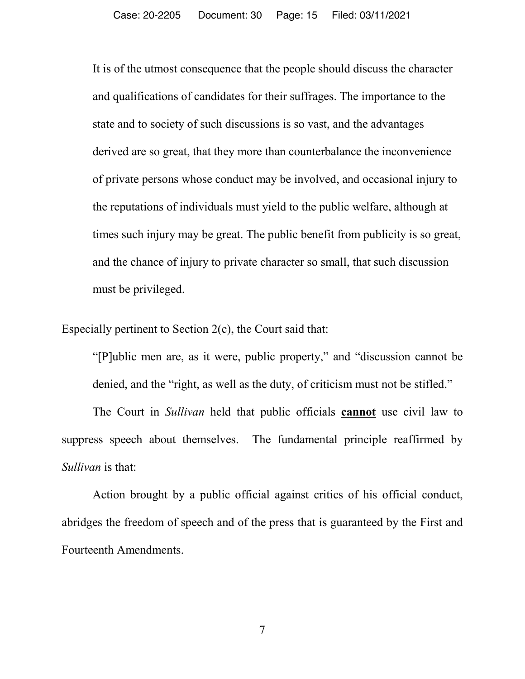It is of the utmost consequence that the people should discuss the character and qualifications of candidates for their suffrages. The importance to the state and to society of such discussions is so vast, and the advantages derived are so great, that they more than counterbalance the inconvenience of private persons whose conduct may be involved, and occasional injury to the reputations of individuals must yield to the public welfare, although at times such injury may be great. The public benefit from publicity is so great, and the chance of injury to private character so small, that such discussion must be privileged.

Especially pertinent to Section 2(c), the Court said that:

"[P]ublic men are, as it were, public property," and "discussion cannot be denied, and the "right, as well as the duty, of criticism must not be stifled."

The Court in *Sullivan* held that public officials **cannot** use civil law to suppress speech about themselves. The fundamental principle reaffirmed by *Sullivan* is that:

Action brought by a public official against critics of his official conduct, abridges the freedom of speech and of the press that is guaranteed by the First and Fourteenth Amendments.

7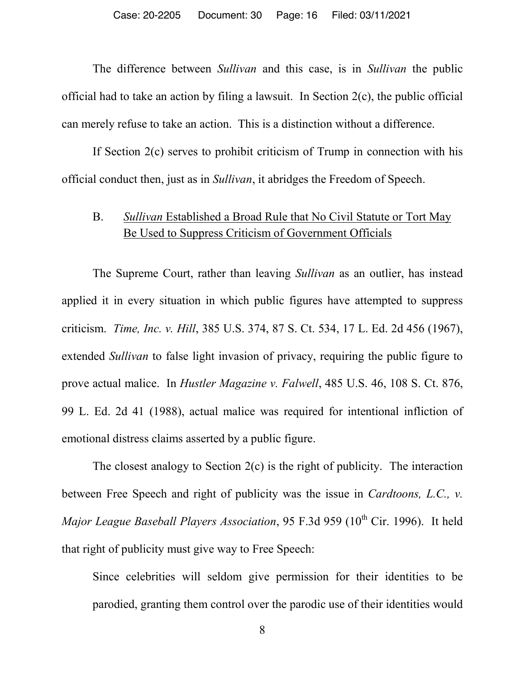The difference between *Sullivan* and this case, is in *Sullivan* the public official had to take an action by filing a lawsuit. In Section 2(c), the public official can merely refuse to take an action. This is a distinction without a difference.

If Section 2(c) serves to prohibit criticism of Trump in connection with his official conduct then, just as in *Sullivan*, it abridges the Freedom of Speech.

### B. *Sullivan* Established a Broad Rule that No Civil Statute or Tort May Be Used to Suppress Criticism of Government Officials

The Supreme Court, rather than leaving *Sullivan* as an outlier, has instead applied it in every situation in which public figures have attempted to suppress criticism. *Time, Inc. v. Hill*, 385 U.S. 374, 87 S. Ct. 534, 17 L. Ed. 2d 456 (1967), extended *Sullivan* to false light invasion of privacy, requiring the public figure to prove actual malice. In *Hustler Magazine v. Falwell*, 485 U.S. 46, 108 S. Ct. 876, 99 L. Ed. 2d 41 (1988), actual malice was required for intentional infliction of emotional distress claims asserted by a public figure.

The closest analogy to Section 2(c) is the right of publicity. The interaction between Free Speech and right of publicity was the issue in *Cardtoons, L.C., v. Major League Baseball Players Association*, 95 F.3d 959 (10<sup>th</sup> Cir. 1996). It held that right of publicity must give way to Free Speech:

Since celebrities will seldom give permission for their identities to be parodied, granting them control over the parodic use of their identities would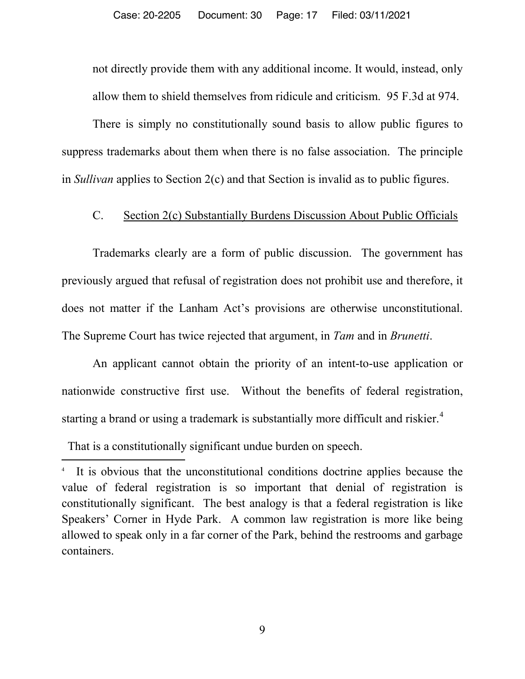not directly provide them with any additional income. It would, instead, only allow them to shield themselves from ridicule and criticism. 95 F.3d at 974.

There is simply no constitutionally sound basis to allow public figures to suppress trademarks about them when there is no false association. The principle in *Sullivan* applies to Section 2(c) and that Section is invalid as to public figures.

#### C. Section 2(c) Substantially Burdens Discussion About Public Officials

Trademarks clearly are a form of public discussion. The government has previously argued that refusal of registration does not prohibit use and therefore, it does not matter if the Lanham Act's provisions are otherwise unconstitutional. The Supreme Court has twice rejected that argument, in *Tam* and in *Brunetti*.

An applicant cannot obtain the priority of an intent-to-use application or nationwide constructive first use. Without the benefits of federal registration, starting a brand or using a trademark is substantially more difficult and riskier.<sup>4</sup>

That is a constitutionally significant undue burden on speech.

 $\overline{a}$ 

<sup>4</sup> It is obvious that the unconstitutional conditions doctrine applies because the value of federal registration is so important that denial of registration is constitutionally significant. The best analogy is that a federal registration is like Speakers' Corner in Hyde Park. A common law registration is more like being allowed to speak only in a far corner of the Park, behind the restrooms and garbage containers.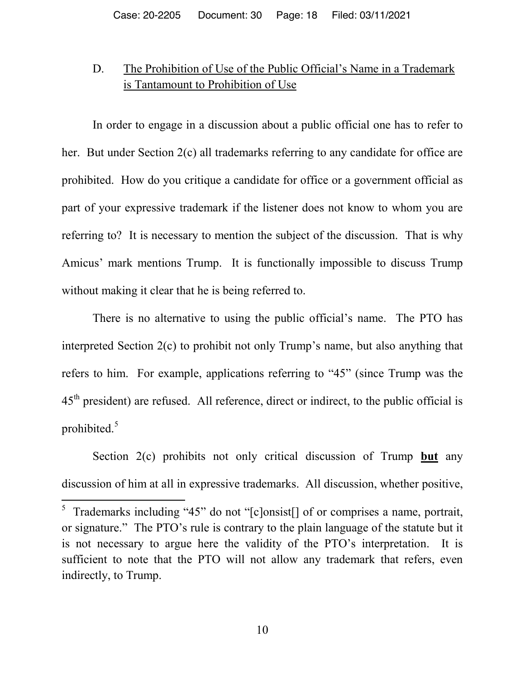## D. The Prohibition of Use of the Public Official's Name in a Trademark is Tantamount to Prohibition of Use

In order to engage in a discussion about a public official one has to refer to her. But under Section 2(c) all trademarks referring to any candidate for office are prohibited. How do you critique a candidate for office or a government official as part of your expressive trademark if the listener does not know to whom you are referring to? It is necessary to mention the subject of the discussion. That is why Amicus' mark mentions Trump. It is functionally impossible to discuss Trump without making it clear that he is being referred to.

There is no alternative to using the public official's name. The PTO has interpreted Section 2(c) to prohibit not only Trump's name, but also anything that refers to him. For example, applications referring to "45" (since Trump was the 45<sup>th</sup> president) are refused. All reference, direct or indirect, to the public official is prohibited.<sup>5</sup>

Section 2(c) prohibits not only critical discussion of Trump **but** any discussion of him at all in expressive trademarks. All discussion, whether positive,

<sup>&</sup>lt;sup>5</sup> Trademarks including "45" do not "[c]onsist[] of or comprises a name, portrait, or signature." The PTO's rule is contrary to the plain language of the statute but it is not necessary to argue here the validity of the PTO's interpretation. It is sufficient to note that the PTO will not allow any trademark that refers, even indirectly, to Trump.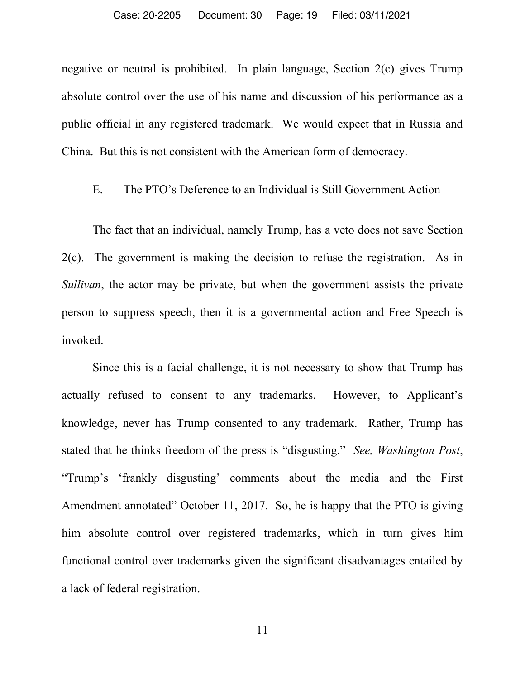negative or neutral is prohibited. In plain language, Section 2(c) gives Trump absolute control over the use of his name and discussion of his performance as a public official in any registered trademark. We would expect that in Russia and China. But this is not consistent with the American form of democracy.

### E. The PTO's Deference to an Individual is Still Government Action

The fact that an individual, namely Trump, has a veto does not save Section 2(c). The government is making the decision to refuse the registration. As in *Sullivan*, the actor may be private, but when the government assists the private person to suppress speech, then it is a governmental action and Free Speech is invoked.

Since this is a facial challenge, it is not necessary to show that Trump has actually refused to consent to any trademarks. However, to Applicant's knowledge, never has Trump consented to any trademark. Rather, Trump has stated that he thinks freedom of the press is "disgusting." *See, Washington Post*, "Trump's 'frankly disgusting' comments about the media and the First Amendment annotated" October 11, 2017.So, he is happy that the PTO is giving him absolute control over registered trademarks, which in turn gives him functional control over trademarks given the significant disadvantages entailed by a lack of federal registration.

11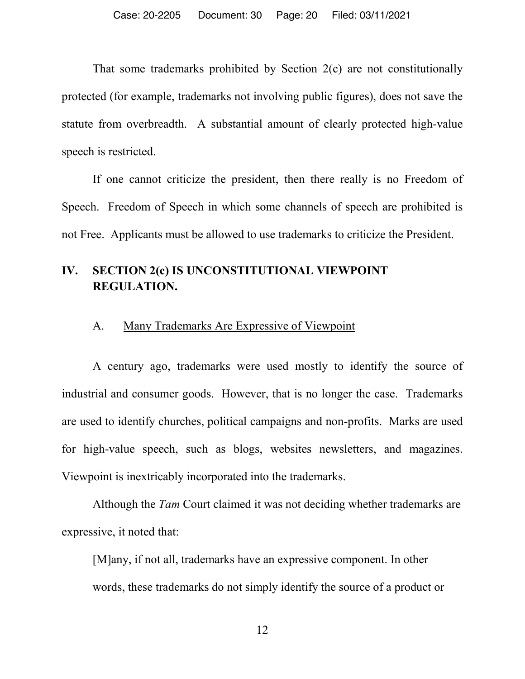That some trademarks prohibited by Section 2(c) are not constitutionally protected (for example, trademarks not involving public figures), does not save the statute from overbreadth. A substantial amount of clearly protected high-value speech is restricted.

If one cannot criticize the president, then there really is no Freedom of Speech. Freedom of Speech in which some channels of speech are prohibited is not Free. Applicants must be allowed to use trademarks to criticize the President.

## **IV. SECTION 2(c) IS UNCONSTITUTIONAL VIEWPOINT REGULATION.**

### A. Many Trademarks Are Expressive of Viewpoint

A century ago, trademarks were used mostly to identify the source of industrial and consumer goods. However, that is no longer the case. Trademarks are used to identify churches, political campaigns and non-profits. Marks are used for high-value speech, such as blogs, websites newsletters, and magazines. Viewpoint is inextricably incorporated into the trademarks.

Although the *Tam* Court claimed it was not deciding whether trademarks are expressive, it noted that:

[M]any, if not all, trademarks have an expressive component. In other words, these trademarks do not simply identify the source of a product or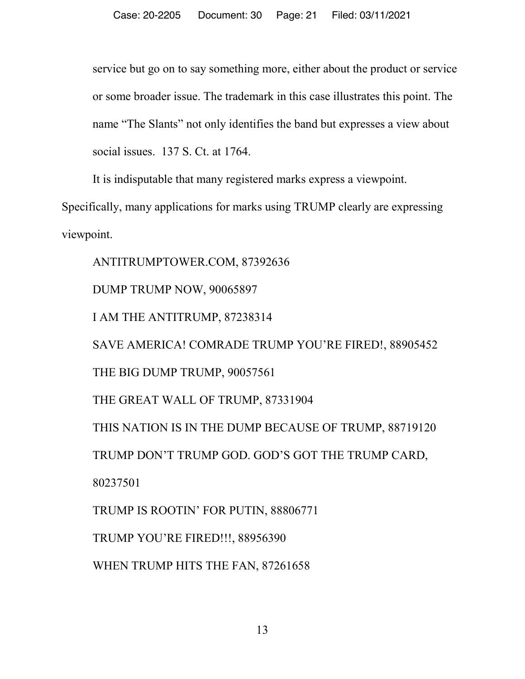service but go on to say something more, either about the product or service or some broader issue. The trademark in this case illustrates this point. The name "The Slants" not only identifies the band but expresses a view about social issues. 137 S. Ct. at 1764.

It is indisputable that many registered marks express a viewpoint.

Specifically, many applications for marks using TRUMP clearly are expressing viewpoint.

ANTITRUMPTOWER.COM, 87392636 DUMP TRUMP NOW, 90065897 I AM THE ANTITRUMP, 87238314 SAVE AMERICA! COMRADE TRUMP YOU'RE FIRED!, 88905452 THE BIG DUMP TRUMP, 90057561 THE GREAT WALL OF TRUMP, 87331904 THIS NATION IS IN THE DUMP BECAUSE OF TRUMP, 88719120 TRUMP DON'T TRUMP GOD. GOD'S GOT THE TRUMP CARD, 80237501 TRUMP IS ROOTIN' FOR PUTIN, 88806771 TRUMP YOU'RE FIRED!!!, 88956390 WHEN TRUMP HITS THE FAN, 87261658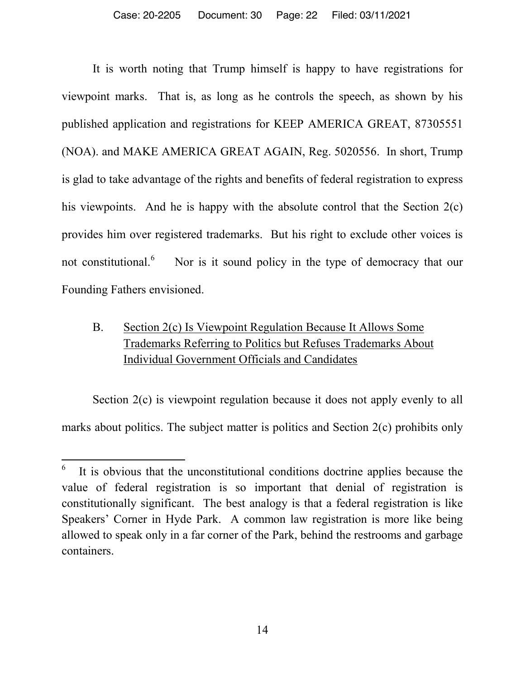It is worth noting that Trump himself is happy to have registrations for viewpoint marks. That is, as long as he controls the speech, as shown by his published application and registrations for KEEP AMERICA GREAT, 87305551 (NOA). and MAKE AMERICA GREAT AGAIN, Reg. 5020556. In short, Trump is glad to take advantage of the rights and benefits of federal registration to express his viewpoints. And he is happy with the absolute control that the Section 2(c) provides him over registered trademarks. But his right to exclude other voices is not constitutional. 6 Nor is it sound policy in the type of democracy that our Founding Fathers envisioned.

## B. Section 2(c) Is Viewpoint Regulation Because It Allows Some Trademarks Referring to Politics but Refuses Trademarks About Individual Government Officials and Candidates

Section 2(c) is viewpoint regulation because it does not apply evenly to all marks about politics. The subject matter is politics and Section 2(c) prohibits only

6 It is obvious that the unconstitutional conditions doctrine applies because the value of federal registration is so important that denial of registration is constitutionally significant. The best analogy is that a federal registration is like Speakers' Corner in Hyde Park. A common law registration is more like being allowed to speak only in a far corner of the Park, behind the restrooms and garbage containers.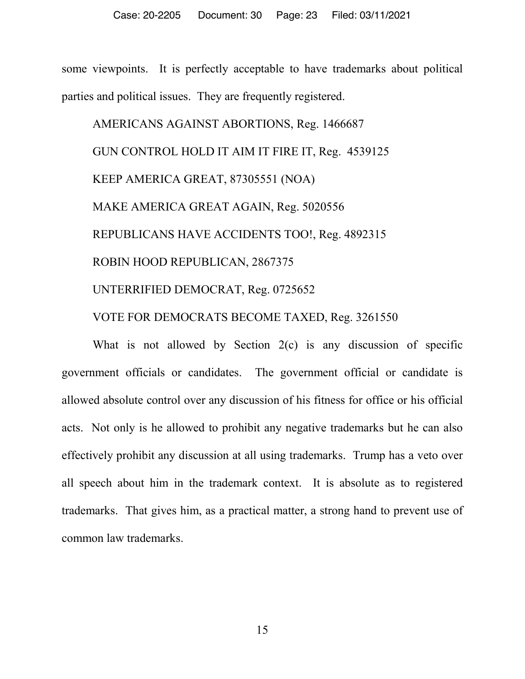some viewpoints. It is perfectly acceptable to have trademarks about political parties and political issues. They are frequently registered.

AMERICANS AGAINST ABORTIONS, Reg. 1466687 GUN CONTROL HOLD IT AIM IT FIRE IT, Reg. 4539125 KEEP AMERICA GREAT, 87305551 (NOA) MAKE AMERICA GREAT AGAIN, Reg. 5020556 REPUBLICANS HAVE ACCIDENTS TOO!, Reg. 4892315 ROBIN HOOD REPUBLICAN, 2867375 UNTERRIFIED DEMOCRAT, Reg. 0725652 VOTE FOR DEMOCRATS BECOME TAXED, Reg. 3261550

What is not allowed by Section 2(c) is any discussion of specific government officials or candidates. The government official or candidate is allowed absolute control over any discussion of his fitness for office or his official acts. Not only is he allowed to prohibit any negative trademarks but he can also effectively prohibit any discussion at all using trademarks. Trump has a veto over all speech about him in the trademark context. It is absolute as to registered trademarks. That gives him, as a practical matter, a strong hand to prevent use of common law trademarks.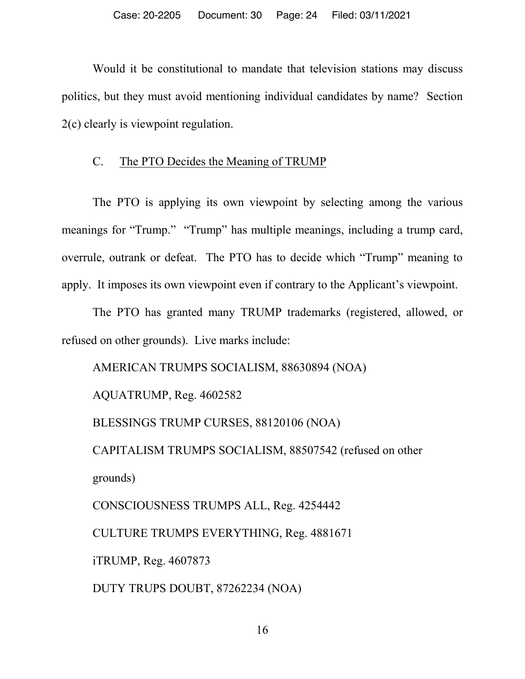Would it be constitutional to mandate that television stations may discuss politics, but they must avoid mentioning individual candidates by name? Section 2(c) clearly is viewpoint regulation.

### C. The PTO Decides the Meaning of TRUMP

The PTO is applying its own viewpoint by selecting among the various meanings for "Trump." "Trump" has multiple meanings, including a trump card, overrule, outrank or defeat. The PTO has to decide which "Trump" meaning to apply. It imposes its own viewpoint even if contrary to the Applicant's viewpoint.

The PTO has granted many TRUMP trademarks (registered, allowed, or refused on other grounds). Live marks include:

AMERICAN TRUMPS SOCIALISM, 88630894 (NOA)

AQUATRUMP, Reg. 4602582

BLESSINGS TRUMP CURSES, 88120106 (NOA)

CAPITALISM TRUMPS SOCIALISM, 88507542 (refused on other grounds)

CONSCIOUSNESS TRUMPS ALL, Reg. 4254442

CULTURE TRUMPS EVERYTHING, Reg. 4881671

iTRUMP, Reg. 4607873

DUTY TRUPS DOUBT, 87262234 (NOA)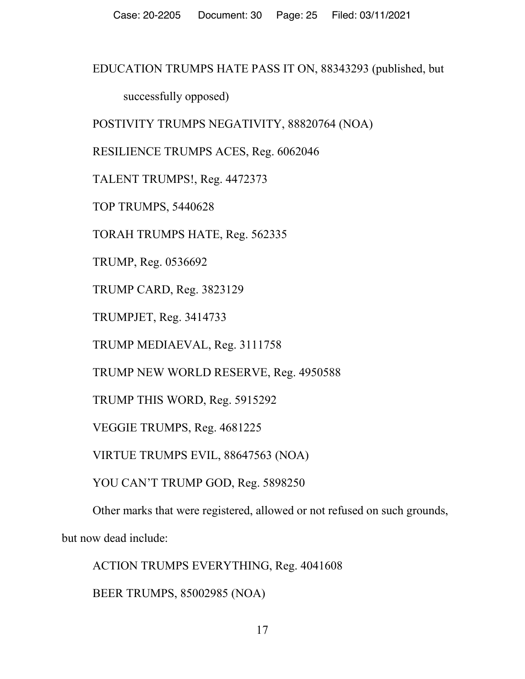### EDUCATION TRUMPS HATE PASS IT ON, 88343293 (published, but

successfully opposed)

POSTIVITY TRUMPS NEGATIVITY, 88820764 (NOA)

RESILIENCE TRUMPS ACES, Reg. 6062046

TALENT TRUMPS!, Reg. 4472373

TOP TRUMPS, 5440628

TORAH TRUMPS HATE, Reg. 562335

TRUMP, Reg. 0536692

TRUMP CARD, Reg. 3823129

TRUMPJET, Reg. 3414733

TRUMP MEDIAEVAL, Reg. 3111758

TRUMP NEW WORLD RESERVE, Reg. 4950588

TRUMP THIS WORD, Reg. 5915292

VEGGIE TRUMPS, Reg. 4681225

VIRTUE TRUMPS EVIL, 88647563 (NOA)

YOU CAN'T TRUMP GOD, Reg. 5898250

Other marks that were registered, allowed or not refused on such grounds,

but now dead include:

ACTION TRUMPS EVERYTHING, Reg. 4041608

BEER TRUMPS, 85002985 (NOA)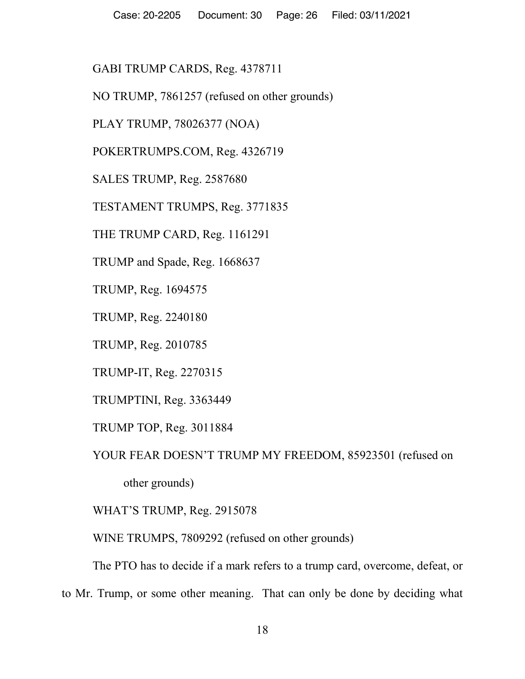GABI TRUMP CARDS, Reg. 4378711

NO TRUMP, 7861257 (refused on other grounds)

PLAY TRUMP, 78026377 (NOA)

POKERTRUMPS.COM, Reg. 4326719

SALES TRUMP, Reg. 2587680

TESTAMENT TRUMPS, Reg. 3771835

THE TRUMP CARD, Reg. 1161291

TRUMP and Spade, Reg. 1668637

TRUMP, Reg. 1694575

TRUMP, Reg. 2240180

TRUMP, Reg. 2010785

TRUMP-IT, Reg. 2270315

TRUMPTINI, Reg. 3363449

TRUMP TOP, Reg. 3011884

YOUR FEAR DOESN'T TRUMP MY FREEDOM, 85923501 (refused on

other grounds)

WHAT'S TRUMP, Reg. 2915078

WINE TRUMPS, 7809292 (refused on other grounds)

The PTO has to decide if a mark refers to a trump card, overcome, defeat, or

to Mr. Trump, or some other meaning. That can only be done by deciding what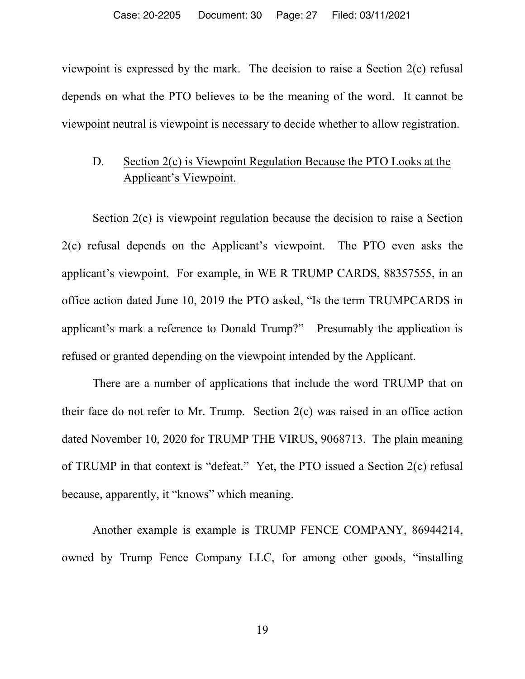viewpoint is expressed by the mark. The decision to raise a Section 2(c) refusal depends on what the PTO believes to be the meaning of the word. It cannot be viewpoint neutral is viewpoint is necessary to decide whether to allow registration.

## D. Section 2(c) is Viewpoint Regulation Because the PTO Looks at the Applicant's Viewpoint.

Section 2(c) is viewpoint regulation because the decision to raise a Section 2(c) refusal depends on the Applicant's viewpoint. The PTO even asks the applicant's viewpoint. For example, in WE R TRUMP CARDS, 88357555, in an office action dated June 10, 2019 the PTO asked, "Is the term TRUMPCARDS in applicant's mark a reference to Donald Trump?" Presumably the application is refused or granted depending on the viewpoint intended by the Applicant.

There are a number of applications that include the word TRUMP that on their face do not refer to Mr. Trump. Section 2(c) was raised in an office action dated November 10, 2020 for TRUMP THE VIRUS, 9068713. The plain meaning of TRUMP in that context is "defeat." Yet, the PTO issued a Section 2(c) refusal because, apparently, it "knows" which meaning.

Another example is example is TRUMP FENCE COMPANY, 86944214, owned by Trump Fence Company LLC, for among other goods, "installing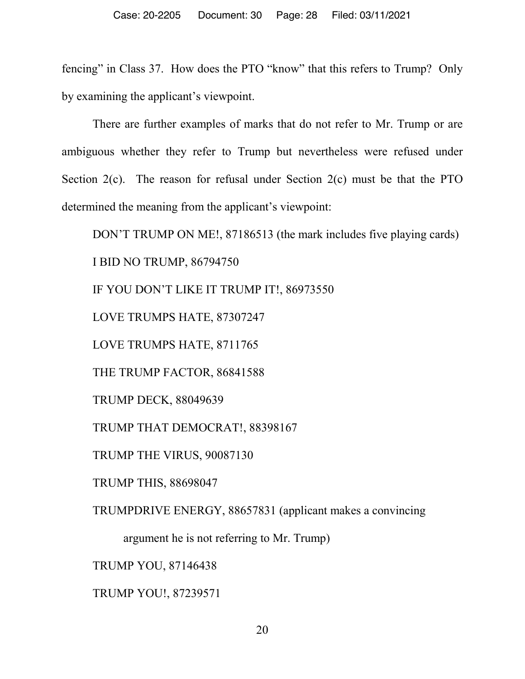fencing" in Class 37. How does the PTO "know" that this refers to Trump? Only by examining the applicant's viewpoint.

 There are further examples of marks that do not refer to Mr. Trump or are ambiguous whether they refer to Trump but nevertheless were refused under Section 2(c). The reason for refusal under Section 2(c) must be that the PTO determined the meaning from the applicant's viewpoint:

DON'T TRUMP ON ME!, 87186513 (the mark includes five playing cards) I BID NO TRUMP, 86794750 IF YOU DON'T LIKE IT TRUMP IT!, 86973550 LOVE TRUMPS HATE, 87307247 LOVE TRUMPS HATE, 8711765 THE TRUMP FACTOR, 86841588 TRUMP DECK, 88049639 TRUMP THAT DEMOCRAT!, 88398167 TRUMP THE VIRUS, 90087130 TRUMP THIS, 88698047 TRUMPDRIVE ENERGY, 88657831 (applicant makes a convincing argument he is not referring to Mr. Trump) TRUMP YOU, 87146438

TRUMP YOU!, 87239571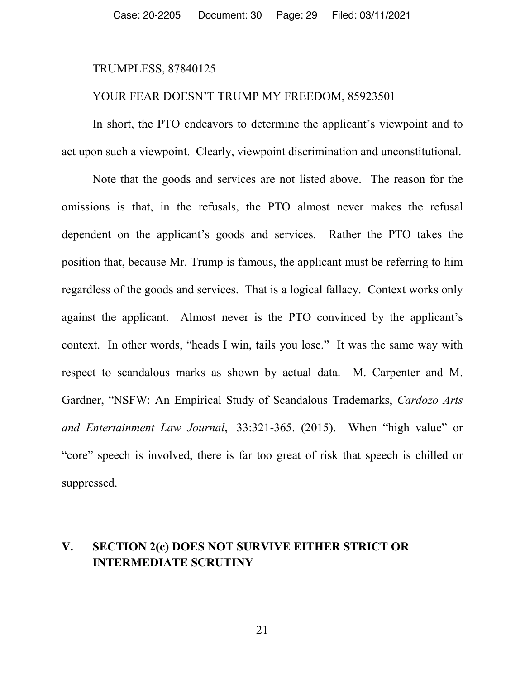#### TRUMPLESS, 87840125

#### YOUR FEAR DOESN'T TRUMP MY FREEDOM, 85923501

In short, the PTO endeavors to determine the applicant's viewpoint and to act upon such a viewpoint. Clearly, viewpoint discrimination and unconstitutional.

Note that the goods and services are not listed above. The reason for the omissions is that, in the refusals, the PTO almost never makes the refusal dependent on the applicant's goods and services. Rather the PTO takes the position that, because Mr. Trump is famous, the applicant must be referring to him regardless of the goods and services. That is a logical fallacy. Context works only against the applicant. Almost never is the PTO convinced by the applicant's context. In other words, "heads I win, tails you lose." It was the same way with respect to scandalous marks as shown by actual data. M. Carpenter and M. Gardner, "NSFW: An Empirical Study of Scandalous Trademarks, *Cardozo Arts and Entertainment Law Journal*, 33:321-365. (2015). When "high value" or "core" speech is involved, there is far too great of risk that speech is chilled or suppressed.

## **V. SECTION 2(c) DOES NOT SURVIVE EITHER STRICT OR INTERMEDIATE SCRUTINY**

21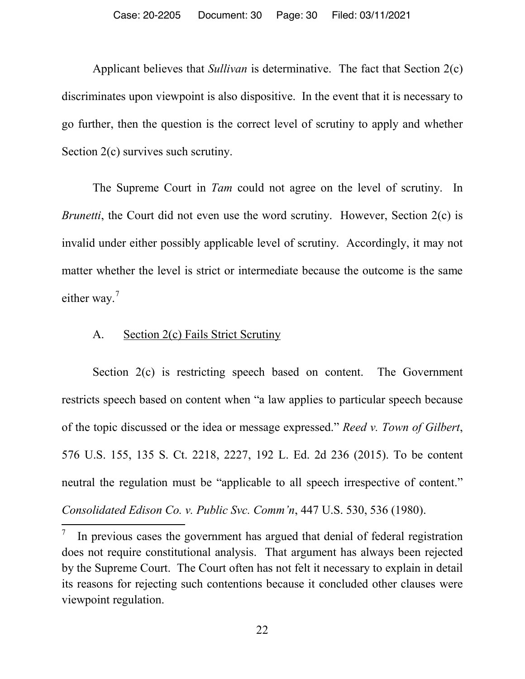Applicant believes that *Sullivan* is determinative. The fact that Section 2(c) discriminates upon viewpoint is also dispositive. In the event that it is necessary to go further, then the question is the correct level of scrutiny to apply and whether Section 2(c) survives such scrutiny.

The Supreme Court in *Tam* could not agree on the level of scrutiny. In *Brunetti*, the Court did not even use the word scrutiny. However, Section 2(c) is invalid under either possibly applicable level of scrutiny. Accordingly, it may not matter whether the level is strict or intermediate because the outcome is the same either way.<sup>7</sup>

#### A. Section 2(c) Fails Strict Scrutiny

Section 2(c) is restricting speech based on content. The Government restricts speech based on content when "a law applies to particular speech because of the topic discussed or the idea or message expressed." *Reed v. Town of Gilbert*, 576 U.S. 155, 135 S. Ct. 2218, 2227, 192 L. Ed. 2d 236 (2015). To be content neutral the regulation must be "applicable to all speech irrespective of content." *Consolidated Edison Co. v. Public Svc. Comm'n*, 447 U.S. 530, 536 (1980).

7 In previous cases the government has argued that denial of federal registration does not require constitutional analysis. That argument has always been rejected by the Supreme Court. The Court often has not felt it necessary to explain in detail its reasons for rejecting such contentions because it concluded other clauses were viewpoint regulation.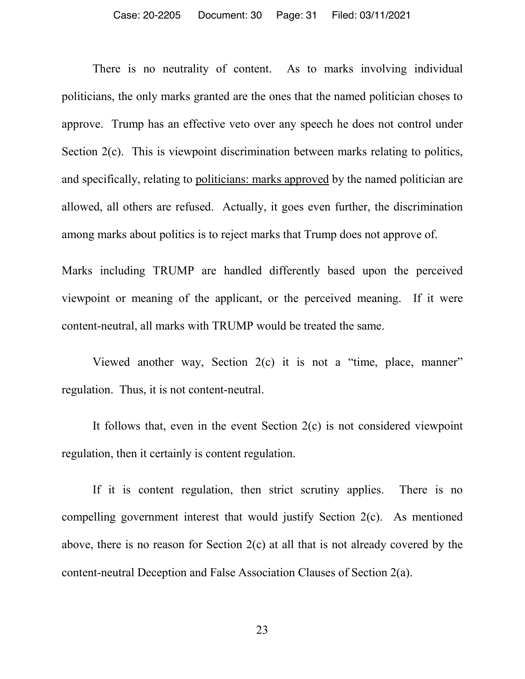#### Case: 20-2205 Document: 30 Page: 31 Filed: 03/11/2021

There is no neutrality of content. As to marks involving individual politicians, the only marks granted are the ones that the named politician choses to approve. Trump has an effective veto over any speech he does not control under Section 2(c). This is viewpoint discrimination between marks relating to politics, and specifically, relating to politicians: marks approved by the named politician are allowed, all others are refused. Actually, it goes even further, the discrimination among marks about politics is to reject marks that Trump does not approve of.

Marks including TRUMP are handled differently based upon the perceived viewpoint or meaning of the applicant, or the perceived meaning. If it were content-neutral, all marks with TRUMP would be treated the same.

Viewed another way, Section 2(c) it is not a "time, place, manner" regulation. Thus, it is not content-neutral.

It follows that, even in the event Section 2(c) is not considered viewpoint regulation, then it certainly is content regulation.

If it is content regulation, then strict scrutiny applies. There is no compelling government interest that would justify Section 2(c). As mentioned above, there is no reason for Section 2(c) at all that is not already covered by the content-neutral Deception and False Association Clauses of Section 2(a).

23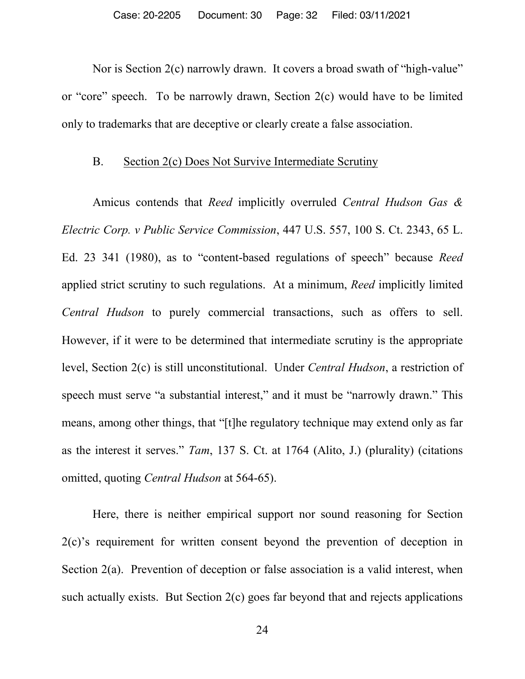Nor is Section 2(c) narrowly drawn. It covers a broad swath of "high-value" or "core" speech. To be narrowly drawn, Section 2(c) would have to be limited only to trademarks that are deceptive or clearly create a false association.

### B. Section 2(c) Does Not Survive Intermediate Scrutiny

Amicus contends that *Reed* implicitly overruled *Central Hudson Gas & Electric Corp. v Public Service Commission*, 447 U.S. 557, 100 S. Ct. 2343, 65 L. Ed. 23 341 (1980), as to "content-based regulations of speech" because *Reed*  applied strict scrutiny to such regulations. At a minimum, *Reed* implicitly limited *Central Hudson* to purely commercial transactions, such as offers to sell. However, if it were to be determined that intermediate scrutiny is the appropriate level, Section 2(c) is still unconstitutional. Under *Central Hudson*, a restriction of speech must serve "a substantial interest," and it must be "narrowly drawn." This means, among other things, that "[t]he regulatory technique may extend only as far as the interest it serves." *Tam*, 137 S. Ct. at 1764 (Alito, J.) (plurality) (citations omitted, quoting *Central Hudson* at 564-65).

Here, there is neither empirical support nor sound reasoning for Section 2(c)'s requirement for written consent beyond the prevention of deception in Section 2(a). Prevention of deception or false association is a valid interest, when such actually exists. But Section  $2(c)$  goes far beyond that and rejects applications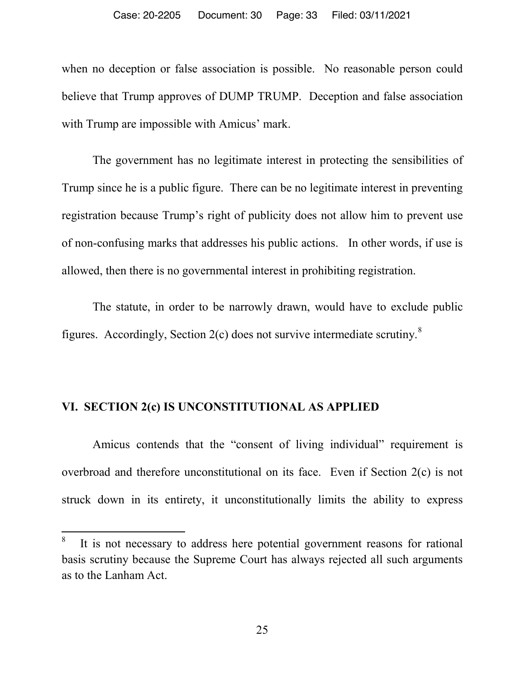when no deception or false association is possible. No reasonable person could believe that Trump approves of DUMP TRUMP. Deception and false association with Trump are impossible with Amicus' mark.

The government has no legitimate interest in protecting the sensibilities of Trump since he is a public figure. There can be no legitimate interest in preventing registration because Trump's right of publicity does not allow him to prevent use of non-confusing marks that addresses his public actions. In other words, if use is allowed, then there is no governmental interest in prohibiting registration.

The statute, in order to be narrowly drawn, would have to exclude public figures. Accordingly, Section  $2(c)$  does not survive intermediate scrutiny.<sup>8</sup>

### **VI. SECTION 2(c) IS UNCONSTITUTIONAL AS APPLIED**

Amicus contends that the "consent of living individual" requirement is overbroad and therefore unconstitutional on its face. Even if Section 2(c) is not struck down in its entirety, it unconstitutionally limits the ability to express

8 It is not necessary to address here potential government reasons for rational basis scrutiny because the Supreme Court has always rejected all such arguments as to the Lanham Act.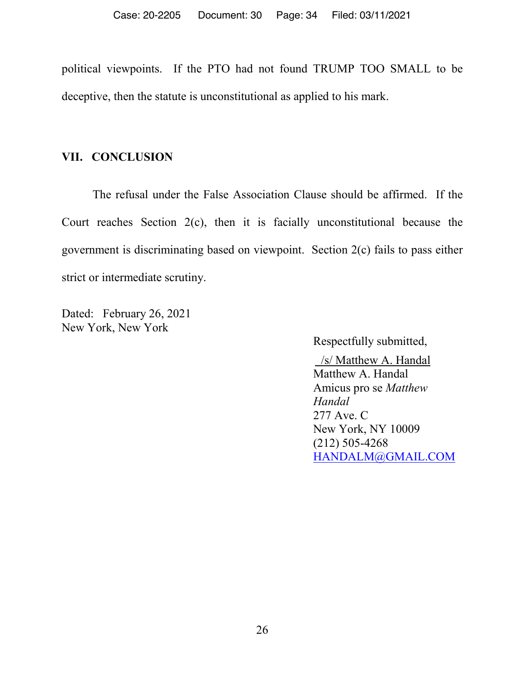political viewpoints. If the PTO had not found TRUMP TOO SMALL to be deceptive, then the statute is unconstitutional as applied to his mark.

### **VII. CONCLUSION**

The refusal under the False Association Clause should be affirmed. If the Court reaches Section 2(c), then it is facially unconstitutional because the government is discriminating based on viewpoint. Section 2(c) fails to pass either strict or intermediate scrutiny.

Dated: February 26, 2021 New York, New York

Respectfully submitted,

 /s/ Matthew A. Handal Matthew A. Handal Amicus pro se *Matthew Handal* 277 Ave. C New York, NY 10009 (212) 505-4268 HANDALM@GMAIL.COM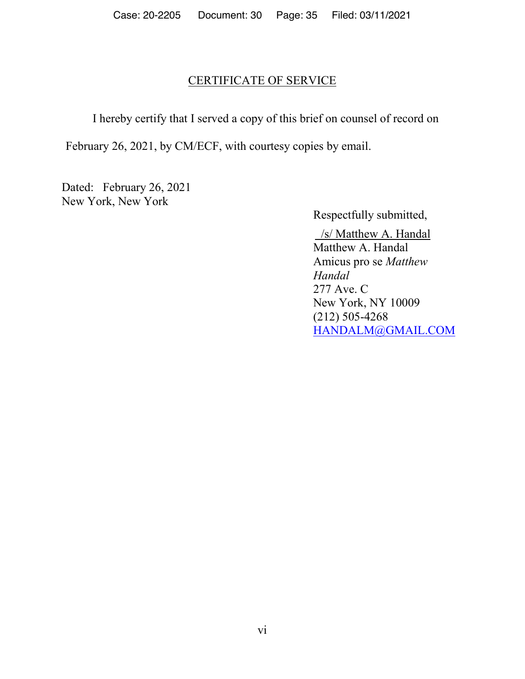### CERTIFICATE OF SERVICE

I hereby certify that I served a copy of this brief on counsel of record on

February 26, 2021, by CM/ECF, with courtesy copies by email.

Dated: February 26, 2021 New York, New York

Respectfully submitted,

 /s/ Matthew A. Handal Matthew A. Handal Amicus pro se *Matthew Handal* 277 Ave. C New York, NY 10009 (212) 505-4268 HANDALM@GMAIL.COM